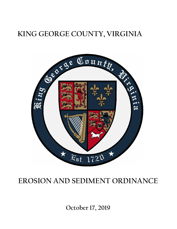# **KING GEORGE COUNTY, VIRGINIA**



## **EROSION AND SEDIMENT ORDINANCE**

**October 17, 2019**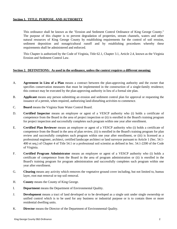#### **Section 1. TITLE, PURPOSE, AND AUTHORITY**

This ordinance shall be known as the "Erosion and Sediment Control Ordinance of King George County." The purpose of this chapter is to prevent degradation of properties, stream channels, waters and other natural resources of King George County by establishing requirements for the control of soil erosion, sediment deposition and nonagricultural runoff and by establishing procedures whereby these requirements shall be administered and enforced.

This Chapter is authorized by the Code of Virginia, Title 62.1, Chapter 3.1, Article 2.4, known as the Virginia Erosion and Sediment Control Law.

#### **Section 2. DEFINITIONS: As used in the ordinance, unless the context requires a different meaning:**

- A. **Agreement in Lieu of a Plan** means a contract between the plan-approving authority and the owner that specifies conservation measures that must be implemented in the construction of a single-family residence; this contract may be executed by the plan-approving authority in lieu of a formal site plan.
- B. **Applicant** means any person submitting an erosion and sediment control plan for approval or requesting the issuance of a permit, when required, authorizing land-disturbing activities to commence.
- C. **Board** means the Virginia State Water Control Board.
- D. **Certified Inspector** means an employee or agent of a VESCP authority who (i) holds a certificate of competence from the Board in the area of project inspection or (ii) is enrolled in the Board's training program for project inspection and successfully completes such program within one year after enrollment.
- E. **Certified Plan Reviewer** means an employee or agent of a VESCP authority who (i) holds a certificate of competence from the Board in the area of plan review, (ii) is enrolled in the Board's training program for plan review and successfully completes such program within one year after enrollment, or (iii) is licensed as a professional engineer, architect, certified landscape architect or land surveyor pursuant to Article 1 (Sec. 54.1- 400 et seq.) of Chapter 4 of Title 54.1 or a professional soil scientist as defined in Sec. 54.1-2200 of the Code of Virginia.
- F. **Certified Program Administrator** means an employee or agent of a VESCP authority who (i) holds a certificate of competence from the Board in the area of program administration or (ii) is enrolled in the Board's training program for program administration and successfully completes such program within one year after enrollment.
- G. **Clearing** means any activity which removes the vegetative ground cover including, but not limited to, humus layer, root mat removal or top soil removal.
- H. **County** means the County of King George.
- I. **Department** means the Department of Environmental Quality.
- J. **Development** means a tract of land developed or to be developed as a single unit under single ownership or unified control which is to be used for any business or industrial purpose or is to contain three or more residential dwelling units.
- K. **Director** means the Director of the Department of Environmental Quality.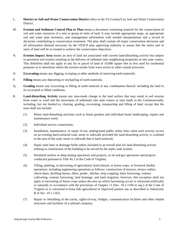- L. **District or Soil and Water Conservation District** refers to the Tri-County/City Soil and Water Conservation District.
- M. **Erosion and Sediment Control Plan or Plan** means a document containing material for the conservation of soil and water resources of a unit or group of units of land. It may include appropriate maps, an appropriate soil and water plan inventory, and management information with needed interpretations and a record of decisions contributing to conservation treatment. The plan shall contain all major conservation decisions and all information deemed necessary by the VESCP plan approving authority to assure that the entire unit or units of land will be so treated to achieve the conservation objectives.
- N. **Erosion Impact Area** means an area of land not associated with current land-disturbing activity but subject to persistent soil erosion resulting in the delivery of sediment onto neighboring properties or into state waters. This definition shall not apply to any lot or parcel of land of 10,000 square feet or less used for residential purposes or to shorelines where the erosion results from wave action or other coastal processes.
- O. **Excavating** means any digging, scooping or other methods of removing earth materials.
- P. **Filling** means any depositing or stockpiling of earth materials.
- Q. **Grading** means any excavating or filling of earth material or any combination thereof, including the land in its excavated or filled conditions.
- R. **Land-disturbing Activity** means any man-made change to the land surface that may result in soil erosion from water or wind and the movement of sediments into state waters or onto lands in the Commonwealth, including, but not limited to, clearing, grading, excavating, transporting and filling of land, except that the term shall not include:
	- (1) Minor land-disturbing activities such as home gardens and individual home landscaping, repairs and maintenance work;
	- (2) Individual service connections;
	- (3) Installation, maintenance, or repair of any underground public utility lines when such activity occurs on an existing hard-surfaced road, street or sidewalk provided the land-disturbing activity is confined to the area of the road, street or sidewalk that is hard-surfaced;
	- (4) Septic tank lines or drainage fields unless included in an overall plan for land-disturbing activity relating to construction of the building to be served by the septic tank system;
	- (5) Permitted surface or deep mining operations and projects, or oil and gas operations and projects conducted pursuant to Title 45.1 of the Code of Virginia;
	- (6) Tilling, planting, or harvesting of agricultural, horticultural, or forest crops, or livestock feedlot operations; including engineering operations as follows: construction of terraces, terrace outlets, check dams, desilting basins, dikes, ponds , ditches, strip cropping, lister furrowing, contour cultivating, contour furrowing, land drainage, and land irrigation; however, this exception shall not apply to harvesting of forest crops unless the area on which harvesting occurs is reforested artificially or naturally in accordance with the provisions of Chapter 11 (Sec. 10.1-1100 et seq.) of the Code of Virginia or is converted to bona fide agricultural or improved pasture use as described in Subsection B of Sec. 10.1-1163;
	- (7) Repair or rebuilding of the tracks, rights-of-way, bridges, communication facilities and other related structures and facilities of a railroad company;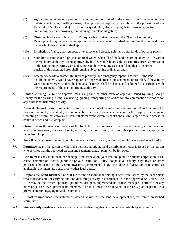- (8) Agricultural engineering operations, including but not limited to the construction of terraces, terrace outlets, check dams, desilting basins, dikes, ponds not required to comply with the provisions of the Dam Safety Act (Va. Code § 10.1-604 et seq.), ditches, strip cropping, lister furrowing, contour cultivating, contour furrowing, land drainage, and land irrigation;
- (9) Disturbed land areas of less than 2,500 square feet in size; however, the Director Community Development may reduce this exception to a smaller area of disturbed land or qualify the conditions under which this exception shall apply;
- (10) Installation of fence and sign posts or telephone and electric poles and other kinds of posts or poles;
- (11) Shoreline erosion control projects on tidal waters when all of the land disturbing activities are within the regulatory authority of and approved by local wetlands boards, the Marine Resources Commission or the United States Army Corps of Engineers; however, any associated land that is disturbed outside of this exempted area shall remain subject to this ordinance; and
- (12) Emergency work to protect life, limb or property, and emergency repairs; however, if the landdisturbing activity would have required an approved erosion and sediment control plan, if the activity were not an emergency, then the land area disturbed shall be shaped and stabilized in accordance with the requirements of the plan-approving authority.
- S. **Land-disturbing Permit** or approval means a permit or other form of approval issued by King George County for the clearing, filling, excavating, grading, transporting of land or for any combination thereof or for any other land disturbing activity.
- T. **Natural channel design concepts** means the utilization of engineering analysis and fluvial geomorphic processes to create, rehabilitate, restore, or stabilize an open conveyance system for the purpose of creating or recreating a stream that conveys its bankfull storm event within its banks and allows larger flows to access its bankfull bench and its floodplain.
- U. **Owner** means the owner or owners of the freehold of the premises or lesser estate therein, a mortgagee or vendee in possession, assignee of rents, receiver, executor, trustee, lessee or other person, firm or corporation in control of a property.
- V. **Peak flow rate** means the maximum instantaneous flow from a given storm condition at a particular location.
- W. **Permittee** means the person to whom the permit authorizing land-disturbing activities is issued or the person who certifies that the approved erosion and sediment control plan will be followed.
- X. **Person** means any individual, partnership, firm, association, joint venture, public or private corporation, trust, estate, commission, board, public or private institution, utility, cooperative, county, city, town or other political subdivision of the Commonwealth, governmental body, including a federal or state entity as applicable, any interstate body, or any other legal entity.
- Y. **Responsible Land Disturber or "RLD"** means an individual holding a certificate issued by the department who is responsible for carrying out land disturbing activity in accordance with the approved ESC plan. The RLD may be the owner, applicant, permittee, designer, superintendent, project manager, contractor, or any other project or development team member. The RLD must be designated on the ESC plan or permit as a prerequisite for engaging in land disturbance.
- Z. **Runoff volume** means the volume of water that runs off the land development project from a prescribed storm event.
- AA. **Single-family residence** means a noncommercial dwelling that is occupied exclusively by one family.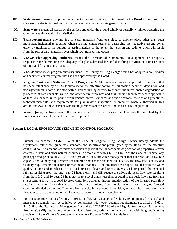- BB. **State Permit** means an approval to conduct a land-disturbing activity issued by the Board in the form of a state stormwater individual permit or coverage issued under a state general permit.
- CC. **State waters** means all waters on the surface and under the ground wholly or partially within or bordering the Commonwealth or within its jurisdiction.
- DD. **Transporting** means any moving of earth materials from one place to another place other than such movement incidental to grading, when such movement results in destroying the vegetative ground cover either by tracking or the buildup of earth materials to the extent that erosion and sedimentation will result from the soil or earth materials over which such transporting occurs.
- EE. **VESCP Plan-approving authority** means the Director of Community Development, or designee, responsible for determining the adequacy of a plan submitted for land-disturbing activities on a unit or units of lands and for approving plans.
- FF. **VESCP** authority or program authority means the County of King George which has adopted a soil erosion and sediment control program that has been approved by the Board.
- GG. **Virginia Erosion and Sediment Control Program or VESCP** means a program approved by the Board that has been established by a VESCP authority for the effective control of soil erosion, sediment deposition, and non-agricultural runoff associated with a land disturbing activity to prevent the unreasonable degradation of properties, stream channels, waters, and other natural resources and shall include such items where applicable as local ordinances, rules, permit requirements, annual standards and specifications, policies and guidelines, technical materials, and requirements for plan review, inspection, enforcement where authorized in this article, and evaluation consistent with the requirements of this article and its associated regulations.
- HH. **Water Quality Volume** means the volume equal to the first one-half inch of runoff multiplied by the impervious surface of the land development project.

#### **Section 3. LOCAL EROSION AND SEDIMENT CONTROL PROGRAM**

Pursuant to section 62.1-44.15:54 of the Code of Virginia, King George County hereby adopts the regulations, references, guidelines, standards and specifications promulgated by the Board for the effective control of soil erosion and sediment deposition to prevent the unreasonable degradation of properties, stream channels, waters and other natural resources. In accordance with § 62.1-44.15:52 of the Code of Virginia, any plan approved prior to July 1, 2014 that provides for stormwater management that addresses any flow rate capacity and velocity requirements for natural or man-made channels shall satisfy the flow rate capacity and velocity requirements for natural or man-made channels if the practices are designed to (i) detain the water quality volume and to release it over 48 hours; (ii) detain and release over a 24-hour period the expected rainfall resulting from the one year, 24-hour storm; and (iii) reduce the allowable peak flow rate resulting from the 1.5, 2, and 10-year, 24-hour storms to a level that is less than or equal to the peak flow rate from the site assuming it was in a good forested condition, achieved through multiplication of the forested peak flow rate by a reduction factor that is equal to the runoff volume from the site when it was in a good forested condition divided by the runoff volume from the site in its proposed condition, and shall be exempt from any flow rate capacity and velocity requirements for natural or man-made channels.

A. For Plans approved on or after July 1, 2014, the flow rate capacity and velocity requirements for natural and man-made channels shall be satisfied by compliance with water quantity requirements specified in § 62.1-44.15:28 of the Stormwater Management Act and 9VAC25-870-66 of the Virginia Stormwater Management Program (VSMP) regulations, unless such land-disturbing activities are in accordance with the grandfathering provisions of the Virginia Stormwater Management Program (VSMP) Regulations..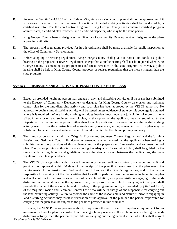- B. Pursuant to Sec. 62.1-44.15:53 of the Code of Virginia, an erosion control plan shall not be approved until it is reviewed by a certified plan reviewer. Inspections of land-disturbing activities shall be conducted by a certified inspector. The Erosion Control Program of King George County shall contain a certified program administrator, a certified plan reviewer, and a certified inspector, who may be the same person.
- C. King George County hereby designates the Director of Community Development or designee as the planapproving authority.
- D. The program and regulations provided for in this ordinance shall be made available for public inspection at the office of Community Development.
- E. Before adopting or revising regulations, King George County shall give due notice and conduct a public hearing on the proposed or revised regulations, except that a public hearing shall not be required when King George County is amending its program to conform to revisions in the state program. However, a public hearing shall be held if King George County proposes or revises regulations that are more stringent than the state program.

#### **Section 4. SUBMISSION AND APPROVAL OF PLANS; CONTENTS OF PLANS**

- A. Except as provided herein, no person may engage in any land-disturbing activity until he or she has submitted to the Director of Community Development or designee for King George County an erosion and sediment control plan for the land-disturbing activity and such plan has been approved by the VESCP authority. No approval to begin a land disturbing activity will be issued unless evidence of state permit coverage is obtained where it is required. Where land-disturbing activities involve lands under the jurisdiction of more than one VESCP, an erosion and sediment control plan, at the option of the applicant, may be submitted to the Department for review and approval rather than to each jurisdiction concerned. Where the land-disturbing activity results from the construction of a single-family residence, an agreement in lieu of a plan may be substituted for an erosion and sediment control plan if executed by the plan-approving authority.
- B. The standards contained within the "Virginia Erosion and Sediment Control Regulations" and the Virginia Erosion and Sediment Control Handbook as amended are to be used by the applicant when making a submittal under the provisions of this ordinance and in the preparation of an erosion and sediment control plan. The plan-approving authority, in considering the adequacy of a submitted plan, shall be guided by the same standards, regulations and guidelines. When the standards vary between the publications, the State regulations shall take precedence.
- C. The VESCP plan-approving authority shall review erosion and sediment control plans submitted to it and grant written approval within 60 days of the receipt of the plan if it determines that the plan meets the requirements of the Erosion and Sediment Control Law and the Board's regulations, and if the person responsible for carrying out the plan certifies that he will properly perform the measures included in the plan and will conform to the provisions of this ordinance. In addition, as a prerequisite to engaging in the landdisturbing activities shown on the approved plan, the person responsible for carrying out the plan shall provide the name of the responsible land disturber, to the program authority, as provided by § 62.1-44.15:52, of the Virginia Erosion and Sediment Control Law, who will be in charge of and responsible for carrying out the land-disturbing activity. Failure to provide the name of the responsible land disturber prior to engaging in land-disturbing activities may result in revocation of the approval of the plan and the person responsible for carrying out the plan shall be subject to the penalties provided in this ordinance.

King George County E&S Ordinance 6 However, the VESCP plan-approving authority may waive the certificate of competence requirement for an agreement in lieu of a plan for construction of a single family residence. If a violation occurs during the landdisturbing activity, then the person responsible for carrying out the agreement in lieu of a plan shall correct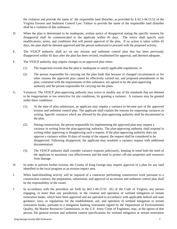the violation and provide the name of the responsible land disturber, as provided by § 62.1-44.15:52 of the Virginia Erosion and Sediment Control Law. Failure to provide the name of the responsible land disturber shall be a violation of this ordinance.

- D. When the plan is determined to be inadequate, written notice of disapproval stating the specific reasons for disapproval shall be communicated to the applicant within 45 days. The notice shall specify such modifications, terms, and conditions that will permit approval of the plan. If no action is taken within 45 days, the plan shall be deemed approved and the person authorized to proceed with the proposed activity.
- E. The VESCP authority shall act on any erosion and sediment control plan that has been previously disapproved within 45 days after the plan has been revised, resubmitted for approval, and deemed adequate.
- F. The VESCP authority may require changes to an approved plan when:
	- (1) The inspection reveals that the plan is inadequate to satisfy applicable regulations; or
	- (2) The person responsible for carrying out the plan finds that because of changed circumstances or for other reasons the approved plan cannot be effectively carried out, and proposed amendments to the plan, consistent with the requirements of this ordinance, are agreed to by the plan-approving authority and the person responsible for carrying out the plans.
- G. Variances: The VESCP plan-approving authority may waive or modify any of the standards that are deemed to be inappropriate or too restrictive for site conditions, by granting a variance. A variance may be granted under these conditions:
	- (1). At the time of plan submission, an applicant may request a variance to become part of the approved erosion and sediment control plan. The applicant shall explain the reasons for requesting variances in writing. Specific variances which are allowed by the plan-approving authority shall be documented in the plan.
	- (2). During construction, the person responsible for implementing the approved plan may request a variance in writing from the plan-approving authority. The plan-approving authority shall respond in writing either approving or disapproving such a request. If the plan-approving authority does not approve a variance within 10 days of receipt of the request, the request shall be considered to be disapproved. Following disapproval, the applicant may resubmit a variance request with additional documentation.
	- (3). The VESCP authority shall consider variance requests judiciously, keeping in mind both the need of the applicant to maximize cost effectiveness and the need to protect off-site properties and resources from damage.
- H. In order to prevent further erosion, the County of King George may require approval of a plan for any land identified in the local program as an erosion impact area.
- I. When land-disturbing activity will be required of a contractor performing construction work pursuant to a construction contract, the preparation, submission, and approval of an erosion and sediment control plan shall be the responsibility of the owner.
- J. In accordance with the procedure set forth by §62.1-44.15:55 (E) of the Code of Virginia, any person engaging, in more than one jurisdiction, in the creation and operation of wetland mitigation or stream restoration banks, which have been approved and are operated in accordance with applicable federal and state guidance, laws, or regulations for the establishment, use, and operation of wetland mitigation or stream restoration banks, pursuant to a mitigation banking instrument signed by the Department of Environmental Quality, the Marine Resources Commission, or the U.S. Army Corps of Engineers, may, at the option of that person, file general erosion and sediment control specifications for wetland mitigation or stream restoration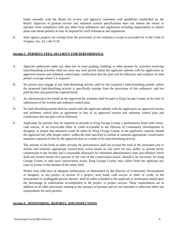banks annually with the Board for review and approval consistent with guidelines established by the Board. Approval of general erosion and sediment control specifications does not relieve the owner or operator from compliance with any other local ordinances and regulations including requirements to submit plans and obtain permits as may be required by such ordinances and regulations.

K. State agency projects are exempt from the provisions of this ordinance except as provided for in the Code of Virginia, Sec. 62.1-44.15:56.

#### **Section 5. PERMITS; FEES; SECURITY FOR PERFORMANCE**

- A. Agencies authorized under any other law to issue grading, building, or other permits for activities involving land-disturbing activities shall not issue any such permit unless the applicant submits with his application an approved erosion and sediment control plan, certification that the plan will be followed, and evidence of state permit coverage where it is required.
- B. No person may engage in any land-disturbing activity until he has acquired a land-disturbing permit, unless the proposed land-disturbing activity is specifically exempt from the provisions of this ordinance, and has paid the fees and posted the required bond.
- C. An administrative fee based on the approved fee schedule shall be paid to King George County at the time of submission of the erosion and sediment control plan.
- D. No land-disturbing permit shall be issued until the applicant submits with his application an approved erosion and sediment control plan or agreement in lieu of an approved erosion and sediment control plan and certification that the plan will be followed.
- E. Applicants for permits may be required to provide to King George County a performance bond with surety, cash escrow, or an irrevocable letter of credit acceptable to the Director of Community Development or designee, to ensure that measures could be taken by King George County at the applicant's expense should the applicant fail, after proper notice, within the time specified to initiate or maintain appropriate conservation measures required of him by the approved plan as a result of his land-disturbing activity.

The amount of the bond or other security for performance shall not exceed the total of the estimated cost to initiate and maintain appropriate conservation action based on unit price for new public or private sector construction in the locality and a reasonable allowance for estimated administrative costs and inflation which shall not exceed twenty-five percent of the cost of the conservation action. Should it be necessary for King George County to take such conservation action, King George County may collect from the applicant any costs in excess of the amount of the surety held.

Within sixty (60) days of adequate stabilization, as determined by the Director of Community Development or designee, in any project or section of a project, such bond, cash escrow or letter of credit, or the unexpended or unobligated portion thereof, shall be either refunded to the applicant or terminated, based upon the percentage of stabilization accomplished in the project or project section. These requirements are in addition to all other provisions relating to the issuance of permits and are not intended to otherwise affect the requirements for such permits.

#### **Section 6. MONITORING, REPORTS, AND INSPECTIONS**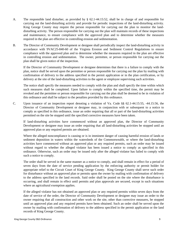- A. The responsible land disturber, as provided by § 62.1-44.15:52, shall be in charge of and responsible for carrying out the land-disturbing activity and provide for periodic inspections of the land-disturbing activity. King George County may require the person responsible for carrying out the plan to monitor the landdisturbing activity. The person responsible for carrying out the plan will maintain records of these inspections and maintenance, to ensure compliance with the approved plan and to determine whether the measures required in the plan are effective in controlling erosion and sedimentation.
- B. The Director of Community Development or designee shall periodically inspect the land-disturbing activity in accordance with 9VAC25-840-60 of the Virginia Erosion and Sediment Control Regulations to ensure compliance with the approved plan and to determine whether the measures required in the plan are effective in controlling erosion and sedimentation. The owner, permittee, or person responsible for carrying out the plan shall be given notice of the inspection.

If the Director of Community Development or designee determines that there is a failure to comply with the plan, notice shall be served upon the permittee or person responsible for carrying out the plan by mailing with confirmation of delivery to the address specified in the permit application or in the plan certification, or by delivery at the site of the land-disturbing activities to the agent or employee supervising such activities.

The notice shall specify the measures needed to comply with the plan and shall specify the time within which such measures shall be completed. Upon failure to comply within the specified time, the permit may be revoked and the permittee or person responsible for carrying out the plan shall be deemed to be in violation of this ordinance and shall be subject to the penalties provided by this ordinance.

C. Upon issuance of an inspection report denoting a violation of Va. Code §§ 62.1-44.15:55, -44.15:56, the Director of Community Development or designee may, in conjunction with or subsequent to a notice to comply as specified in this ordinance, issue an order requiring that all or part of the land-disturbing activities permitted on the site be stopped until the specified corrective measures have been taken.

If land-disturbing activities have commenced without an approved plan, the Director of Community Development or designee may issue an order requiring that all land-disturbing activities be stopped until an approved plan or any required permits are obtained.

Where the alleged noncompliance is causing or is in imminent danger of causing harmful erosion of lands or sediment deposition in waters within the watersheds of the Commonwealth, or where the land-disturbing activities have commenced without an approved plan or any required permits, such an order may be issued without regard to whether the alleged violator has been issued a notice to comply as specified in this ordinance. Otherwise, such an order may be issued only after the alleged violator has failed to comply with such a notice to comply.

The order shall be served in the same manner as a notice to comply, and shall remain in effect for a period of seven days from the date of service pending application by the enforcing authority or permit holder for appropriate relief to the Circuit Court of King George County. King George County shall serve such order for disturbance without an approved plan or permits upon the owner by mailing with confirmation of delivery to the address specified in the land records. Said order shall be posted on the site where the disturbance is occurring, and shall remain in effect until permits and plan approvals are secured, except in such situations where an agricultural exemption applies.

If the alleged violator has not obtained an approved plan or any required permits within seven days from the date of service of the order, the Director of Community Development or designee may issue an order to the owner requiring that all construction and other work on the site, other than corrective measures, be stopped until an approved plan and any required permits have been obtained. Such an order shall be served upon the owner by mailing with confirmation of delivery to the address specified in the permit application or the land records of King George County.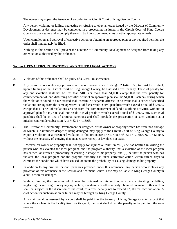The owner may appeal the issuance of an order to the Circuit Court of King George County.

Any person violating or failing, neglecting or refusing to obey an order issued by the Director of Community Development or designee may be compelled in a proceeding instituted in the Circuit Court of King George County to obey same and to comply therewith by injunction, mandamus or other appropriate remedy.

Upon completion and approval of corrective action or obtaining an approved plan or any required permits, the order shall immediately be lifted.

Nothing in this section shall prevent the Director of Community Development or designee from taking any other action authorized by this ordinance.

#### **Section 7. PENALTIES, INJUNCTIONS, AND OTHER LEGAL ACTIONS**

- A. Violators of this ordinance shall be guilty of a Class I misdemeanor.
- B. Any person who violates any provision of this ordinance or Va. Code §§ 62.1-44.15:55, 62.1-44.15:56 shall, upon a finding of the District Court of King George County, be assessed a civil penalty. The civil penalty for any one violation shall not be less than \$100 nor more than \$1,000, except that the civil penalty for commencement of land-disturbing activities without an approved plan shall be \$1,000. Each day during which the violation is found to have existed shall constitute a separate offense. In no event shall a series of specified violations arising from the same operative set of facts result in civil penalties which exceed a total of \$10,000, except that a series of violations arising from the commencement of land-disturbing activities without an approved plan for any site shall not result in civil penalties which exceed a total of \$10,000. Any such civil penalties shall be in lieu of criminal sanctions and shall preclude the prosecution of such violation as a misdemeanor under subsection A of § 62.1-44.15:63.
- C. The Director of Community Development or designee, or the owner or property which has sustained damage or which is in imminent danger of being damaged, may apply to the Circuit Court of King George County to enjoin a violation or a threatened violation of this ordinance or Va. Code §§ 62.1-44.15:55, 62.1-44.15:56, without the necessity of showing that an adequate remedy at law does not exist.

However, an owner of property shall not apply for injunctive relief unless (i) he has notified in writing the person who has violated the local program, and the program authority, that a violation of the local program has caused, or creates a probability of causing, damage to his property, and (ii) neither the person who has violated the local program nor the program authority has taken corrective action within fifteen days to eliminate the conditions which have caused, or create the probability of causing, damage to his property.

- D. In addition to any criminal or civil penalties provided under this ordinance, any person who violates any provision of this ordinance or the Erosion and Sediment Control Law may be liable to King George County in a civil action for damages.
- E. Without limiting the remedies which may be obtained in this section, any person violating or failing, neglecting, or refusing to obey any injunction, mandamus or other remedy obtained pursuant to this section shall be subject, in the discretion of the court, to a civil penalty not to exceed \$2,000 for each violation. A civil action for such violation or failure may be brought by King George County.

Any civil penalties assessed by a court shall be paid into the treasury of King George County, except that where the violator is the locality itself, or its agent, the court shall direct the penalty to be paid into the state treasury.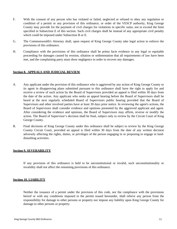- F. With the consent of any person who has violated or failed, neglected or refused to obey any regulation or condition of a permit or any provision of this ordinance, or order of the VESCP authority, King George County may provide for the payment of civil charges for violations in specific sums, not to exceed the limit specified in Subsection E of this section. Such civil charges shall be instead of any appropriate civil penalty which could be imposed under Subsection B or E.
- G. The Commonwealth's Attorney shall, upon request of King George County take legal action to enforce the provisions of this ordinance.
- H. Compliance with the provisions of this ordinance shall be prima facie evidence in any legal or equitable proceeding for damages caused by erosion, siltation or sedimentation that all requirements of law have been met, and the complaining party must show negligence in order to recover any damages.

#### **Section 8. APPEALS AND JUDICIAL REVIEW**

- A. Any applicant under the provision of this ordinance who is aggrieved by any action of King George County or its agent in disapproving plans submitted pursuant to this ordinance shall have the right to apply for and receive a review of such action by the Board of Supervisors provided an appeal is filed within 30 days from the date of the action. Any applicant who seeks an appeal hearing before the Board of Supervisors shall be heard at the next regularly scheduled Board of Supervisors public hearing provided that the Board of Supervisors and other involved parties have at least 30 days prior notice. In reviewing the agent's actions, the Board of Supervisors shall consider evidence and opinions presented by the aggrieved applicant and agent. After considering the evidence and opinions, the Board of Supervisors may affirm, reverse or modify the action. The Board of Supervisor's decision shall be final, subject only to review by the Circuit Court of King George County.
- B. Final decisions of King George County under this ordinance shall be subject to review by the King George County Circuit Court, provided an appeal is filed within 30 days from the date of any written decision adversely affecting the rights, duties, or privileges of the person engaging in or proposing to engage in landdisturbing activities.

#### **Section 9. SEVERABILITY**

If any provision of this ordinance is held to be unconstitutional or invalid, such unconstitutionality or invalidity shall not affect the remaining provisions of this ordinance.

#### **Section 10. LIABILITY**

Neither the issuance of a permit under the provision of this code, nor the compliance with the provisions hereof or with any conditions imposed in the permit issued hereunder, shall relieve any person from the responsibility for damage to other persons or property nor impose any liability upon King George County for damage to other persons or property.